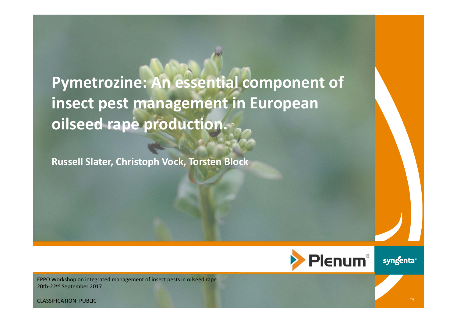**Pymetrozine: An essential component of insect pest management in European oilseed rape production.**

**Russell Slater, Christoph Vock, Torsten Block**



**®**

™

EPPO Workshop on integrated management of insect pests in oilseed rape. 20th‐22nd September 2017

CLASSIFICATION: PUBLIC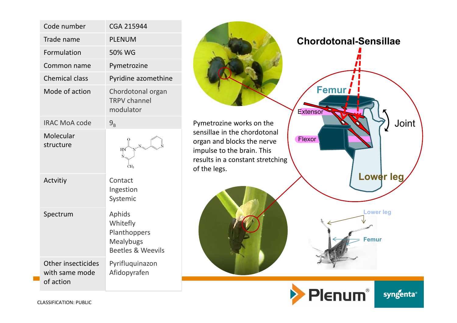|  | Code number                                       | <b>CGA 215944</b>                                                                      |  |  |  |
|--|---------------------------------------------------|----------------------------------------------------------------------------------------|--|--|--|
|  | Trade name                                        | <b>PLENUM</b>                                                                          |  |  |  |
|  | Formulation                                       | 50% WG                                                                                 |  |  |  |
|  | Common name                                       | Pymetrozine                                                                            |  |  |  |
|  | <b>Chemical class</b>                             | Pyridine azomethine                                                                    |  |  |  |
|  | Mode of action                                    | Chordotonal organ<br><b>TRPV</b> channel<br>modulator                                  |  |  |  |
|  | <b>IRAC MoA code</b>                              | $9_{\rm R}$                                                                            |  |  |  |
|  | Molecular<br>structure                            | НΝ<br>N<br>ĊH3                                                                         |  |  |  |
|  | Actvitiy                                          | Contact<br>Ingestion<br>Systemic                                                       |  |  |  |
|  | Spectrum                                          | Aphids<br>Whitefly<br>Planthoppers<br><b>Mealybugs</b><br><b>Beetles &amp; Weevils</b> |  |  |  |
|  | Other insecticides<br>with same mode<br>of action | Pyrifluquinazon<br>Afidopyrafen                                                        |  |  |  |



Pymetrozine works on the sensillae in the chordotonal organ and blocks the nerve impulse to the brain. This results in a constant stretching of the legs.





**Chordotonal-Sensillae**



**®**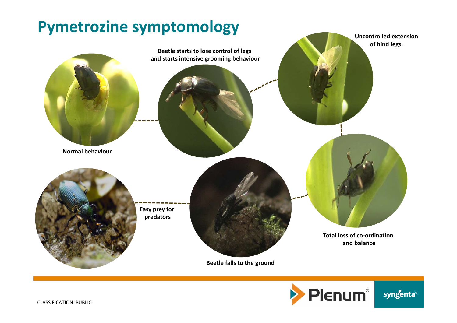



**®**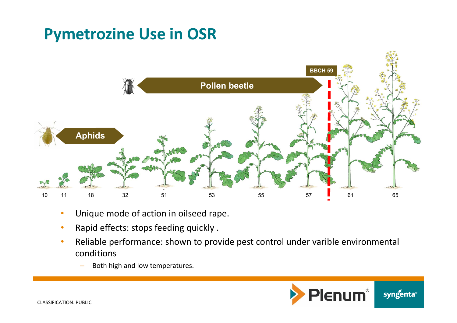## **Pymetrozine Use in OSR**



- •Unique mode of action in oilseed rape.
- •Rapid effects: stops feeding quickly .
- • Reliable performance: shown to provide pest control under varible environmental conditions
	- –Both high and low temperatures.

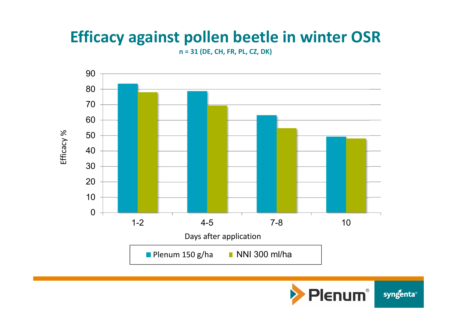## **Efficacy against pollen beetle in winter OSR**

**n = 31 (DE, CH, FR, PL, CZ, DK)**



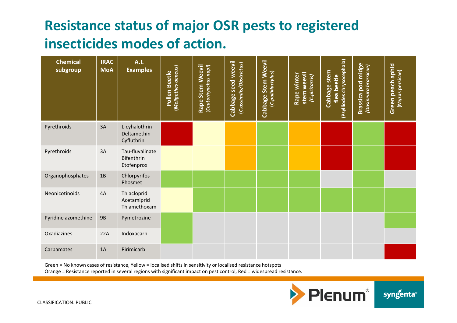### **Resistance status of major OSR pests to registered insecticides modes of action.**

| <b>Chemical</b><br>subgroup | <b>IRAC</b><br><b>MoA</b> | A.I.<br><b>Examples</b>                     | (Meligethes aeneus)<br>Pollen Beetle | Rape Stem Weevil<br>(Ceutorhynchus napi) | seed weevil<br>(C.assimilis/Obstrictus)<br>Cabbage | Cabbage Stem Weevil<br>(C.pallidactylus) | stem weevil<br>Rape winter<br>(C.picitarsis) | (Psylliodes chrysocephala)<br>Cabbage stem<br>flea beetle | <b>Brassica pod midge</b><br>(Dasineura brassicae) | Green peach aphid<br>(Myzus persicae) |
|-----------------------------|---------------------------|---------------------------------------------|--------------------------------------|------------------------------------------|----------------------------------------------------|------------------------------------------|----------------------------------------------|-----------------------------------------------------------|----------------------------------------------------|---------------------------------------|
| Pyrethroids                 | 3A                        | L-cyhalothrin<br>Deltamethin<br>Cyfluthrin  |                                      |                                          |                                                    |                                          |                                              |                                                           |                                                    |                                       |
| Pyrethroids                 | 3A                        | Tau-fluvalinate<br>Bifenthrin<br>Etofenprox |                                      |                                          |                                                    |                                          |                                              |                                                           |                                                    |                                       |
| Organophosphates            | $1B$                      | Chlorpyrifos<br>Phosmet                     |                                      |                                          |                                                    |                                          |                                              |                                                           |                                                    |                                       |
| Neonicotinoids              | 4A                        | Thiacloprid<br>Acetamiprid<br>Thiamethoxam  |                                      |                                          |                                                    |                                          |                                              |                                                           |                                                    |                                       |
| Pyridine azomethine         | <b>9B</b>                 | Pymetrozine                                 |                                      |                                          |                                                    |                                          |                                              |                                                           |                                                    |                                       |
| Oxadiazines                 | 22A                       | Indoxacarb                                  |                                      |                                          |                                                    |                                          |                                              |                                                           |                                                    |                                       |
| Carbamates                  | 1A                        | Pirimicarb                                  |                                      |                                          |                                                    |                                          |                                              |                                                           |                                                    |                                       |

Green = No known cases of resistance, Yellow = localised shifts in sensitivity or localised resistance hotspots

Orange = Resistance reported in several regions with significant impact on pest control, Red = widespread resistance.

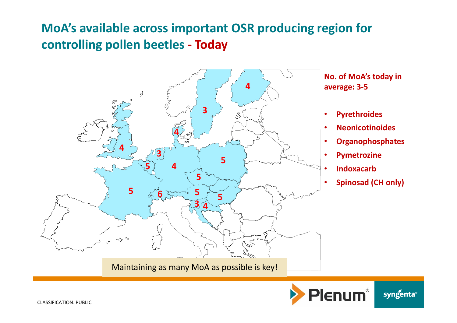#### **MoA's available across important OSR producing region for controlling pollen beetles ‐ Today**



**No. of MoA's today in average: 3‐5**

- •**Pyrethroides**
- •**Neonicotinoides**
- •**Organophosphates**
- •**Pymetrozine**
- •**Indoxacarb**
- •**Spinosad (CH only)**



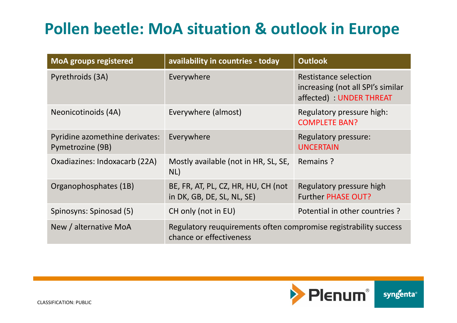# **Pollen beetle: MoA situation & outlook in Europe**

| <b>MoA groups registered</b>                       | availability in countries - today                                                           | <b>Outlook</b>                                                                       |  |  |  |
|----------------------------------------------------|---------------------------------------------------------------------------------------------|--------------------------------------------------------------------------------------|--|--|--|
| Pyrethroids (3A)                                   | Everywhere                                                                                  | Restistance selection<br>increasing (not all SPI's similar<br>affected) UNDER THREAT |  |  |  |
| Neonicotinoids (4A)                                | Everywhere (almost)                                                                         | Regulatory pressure high:<br><b>COMPLETE BAN?</b>                                    |  |  |  |
| Pyridine azomethine derivates:<br>Pymetrozine (9B) | Everywhere                                                                                  | <b>Regulatory pressure:</b><br><b>UNCERTAIN</b>                                      |  |  |  |
| Oxadiazines: Indoxacarb (22A)                      | Mostly available (not in HR, SL, SE,<br>NL)                                                 | Remains?                                                                             |  |  |  |
| Organophosphates (1B)                              | BE, FR, AT, PL, CZ, HR, HU, CH (not<br>in DK, GB, DE, SL, NL, SE)                           | Regulatory pressure high<br><b>Further PHASE OUT?</b>                                |  |  |  |
| Spinosyns: Spinosad (5)                            | CH only (not in EU)                                                                         | Potential in other countries?                                                        |  |  |  |
| New / alternative MoA                              | Regulatory reuquirements often compromise registrability success<br>chance or effectiveness |                                                                                      |  |  |  |

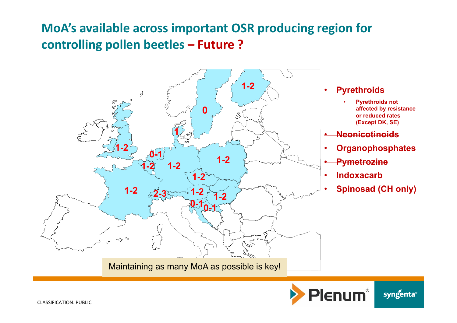#### **MoA's available across important OSR producing region for controlling pollen beetles – Future ?**



#### **Pyrethroids**

- **Pyrethroids not affected by resistance or reduced rates (Except DK, SE)**
- **Neonicotinoids**
- **Organophosphates**
- **Pymetrozine**
- **Indoxacarb**
- **Spinosad (CH only)**

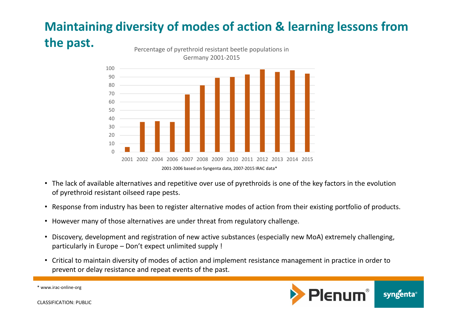#### **Maintaining diversity of modes of action & learning lessons from the past.** Percentage of pyrethroid resistant beetle populations in



- The lack of available alternatives and repetitive over use of pyrethroids is one of the key factors in the evolution of pyrethroid resistant oilseed rape pests.
- Response from industry has been to register alternative modes of action from their existing portfolio of products.
- However many of those alternatives are under threat from regulatory challenge.
- Discovery, development and registration of new active substances (especially new MoA) extremely challenging, particularly in Europe – Don't expect unlimited supply !
- Critical to maintain diversity of modes of action and implement resistance management in practice in order to prevent or delay resistance and repeat events of the past.



\* www.irac‐online‐org

CLASSIFICATION: PUBLIC